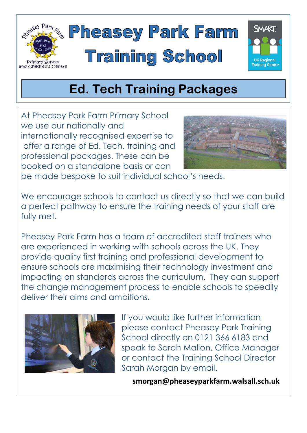



At Pheasey Park Farm Primary School we use our nationally and internationally recognised expertise to offer a range of Ed. Tech. training and professional packages. These can be booked on a standalone basis or can



be made bespoke to suit individual school's needs.

We encourage schools to contact us directly so that we can build a perfect pathway to ensure the training needs of your staff are fully met.

Pheasey Park Farm has a team of accredited staff trainers who are experienced in working with schools across the UK. They provide quality first training and professional development to ensure schools are maximising their technology investment and impacting on standards across the curriculum. They can support the change management process to enable schools to speedily deliver their aims and ambitions.



 If you would like further information please contact Pheasey Park Training School directly on 0121 366 6183 and speak to Sarah Mallon, Office Manager or contact the Training School Director Sarah Morgan by email.

**smorgan@pheaseyparkfarm.walsall.sch.uk**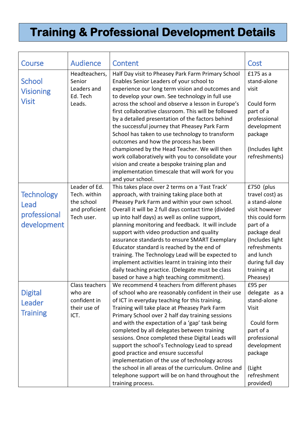## **Training & Professional Development Details**

| Course                                                   | <b>Audience</b>                                                             | Content                                                                                                                                                                                                                                                                                                                                                                                                                                                                                                                                                                                                                                                                                                                                           | Cost                                                                                                                                                                                                          |
|----------------------------------------------------------|-----------------------------------------------------------------------------|---------------------------------------------------------------------------------------------------------------------------------------------------------------------------------------------------------------------------------------------------------------------------------------------------------------------------------------------------------------------------------------------------------------------------------------------------------------------------------------------------------------------------------------------------------------------------------------------------------------------------------------------------------------------------------------------------------------------------------------------------|---------------------------------------------------------------------------------------------------------------------------------------------------------------------------------------------------------------|
| School<br><b>Visioning</b><br><b>Visit</b>               | Headteachers,<br>Senior<br>Leaders and<br>Ed. Tech<br>Leads.                | Half Day visit to Pheasey Park Farm Primary School<br>Enables Senior Leaders of your school to<br>experience our long term vision and outcomes and<br>to develop your own. See technology in full use<br>across the school and observe a lesson in Europe's<br>first collaborative classroom. This will be followed<br>by a detailed presentation of the factors behind<br>the successful journey that Pheasey Park Farm<br>School has taken to use technology to transform<br>outcomes and how the process has been<br>championed by the Head Teacher. We will then<br>work collaboratively with you to consolidate your<br>vision and create a bespoke training plan and<br>implementation timescale that will work for you<br>and your school. | £175 as a<br>stand-alone<br>visit<br>Could form<br>part of a<br>professional<br>development<br>package<br>(Includes light<br>refreshments)                                                                    |
| <b>Technology</b><br>Lead<br>professional<br>development | Leader of Ed.<br>Tech. within<br>the school<br>and proficient<br>Tech user. | This takes place over 2 terms on a 'Fast Track'<br>approach, with training taking place both at<br>Pheasey Park Farm and within your own school.<br>Overall it will be 2 full days contact time (divided<br>up into half days) as well as online support,<br>planning monitoring and feedback. It will include<br>support with video production and quality<br>assurance standards to ensure SMART Exemplary<br>Educator standard is reached by the end of<br>training. The Technology Lead will be expected to<br>implement activities learnt in training into their<br>daily teaching practice. (Delegate must be class<br>based or have a high teaching commitment).                                                                           | £750 (plus<br>travel cost) as<br>a stand-alone<br>visit however<br>this could form<br>part of a<br>package deal<br>(Includes light<br>refreshments<br>and lunch<br>during full day<br>training at<br>Pheasey) |
| <b>Digital</b><br>Leader<br><b>Training</b>              | Class teachers<br>who are<br>confident in<br>their use of<br>ICT.           | We recommend 4 teachers from different phases<br>of school who are reasonably confident in their use<br>of ICT in everyday teaching for this training.<br>Training will take place at Pheasey Park Farm<br>Primary School over 2 half day training sessions<br>and with the expectation of a 'gap' task being<br>completed by all delegates between training<br>sessions. Once completed these Digital Leads will<br>support the school's Technology Lead to spread<br>good practice and ensure successful<br>implementation of the use of technology across<br>the school in all areas of the curriculum. Online and<br>telephone support will be on hand throughout the<br>training process.                                                    | £95 per<br>delegate as a<br>stand-alone<br><b>Visit</b><br>Could form<br>part of a<br>professional<br>development<br>package<br>(Light<br>refreshment<br>provided)                                            |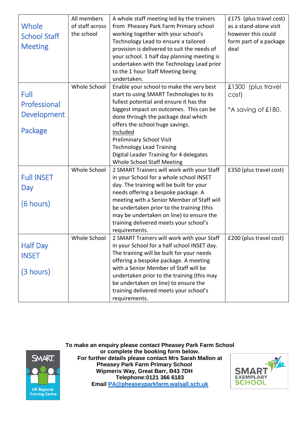|                     | All members     | A whole staff meeting led by the trainers                                                       | £175 (plus travel cost) |
|---------------------|-----------------|-------------------------------------------------------------------------------------------------|-------------------------|
| Whole               | of staff across | from Pheasey Park Farm Primary school                                                           | as a stand-alone visit  |
| <b>School Staff</b> | the school      | working together with your school's                                                             | however this could      |
|                     |                 | Technology Lead to ensure a tailored                                                            | form part of a package  |
| <b>Meeting</b>      |                 | provision is delivered to suit the needs of                                                     | deal                    |
|                     |                 | your school. 1 half day planning meeting is                                                     |                         |
|                     |                 | undertaken with the Technology Lead prior                                                       |                         |
|                     |                 | to the 1 hour Staff Meeting being                                                               |                         |
|                     |                 | undertaken.                                                                                     |                         |
|                     | Whole School    | Enable your school to make the very best                                                        | £1300 (plus travel      |
| Full                |                 | start to using SMART Technologies to its                                                        | cost)                   |
| Professional        |                 | fullest potential and ensure it has the                                                         |                         |
|                     |                 | biggest impact on outcomes. This can be                                                         | *A saving of £180.      |
| <b>Development</b>  |                 | done through the package deal which                                                             |                         |
|                     |                 | offers the school huge savings.                                                                 |                         |
| Package             |                 | Included                                                                                        |                         |
|                     |                 | <b>Preliminary School Visit</b>                                                                 |                         |
|                     |                 | <b>Technology Lead Training</b>                                                                 |                         |
|                     |                 | Digital Leader Training for 4 delegates                                                         |                         |
|                     |                 | <b>Whole School Staff Meeting</b>                                                               |                         |
|                     | Whole School    | 2 SMART Trainers will work with your Staff                                                      | £350 (plus travel cost) |
| <b>Full INSET</b>   |                 | in your School for a whole school INSET                                                         |                         |
| Day                 |                 | day. The training will be built for your                                                        |                         |
|                     |                 | needs offering a bespoke package. A                                                             |                         |
| (6 hours)           |                 | meeting with a Senior Member of Staff will                                                      |                         |
|                     |                 | be undertaken prior to the training (this                                                       |                         |
|                     |                 | may be undertaken on line) to ensure the                                                        |                         |
|                     |                 | training delivered meets your school's                                                          |                         |
|                     | Whole School    | requirements.                                                                                   |                         |
| <b>Half Day</b>     |                 | 2 SMART Trainers will work with your Staff<br>in your School for a half school INSET day.       | £200 (plus travel cost) |
|                     |                 | The training will be built for your needs                                                       |                         |
| <b>INSET</b>        |                 | offering a bespoke package. A meeting                                                           |                         |
|                     |                 | with a Senior Member of Staff will be                                                           |                         |
| (3 hours)           |                 | undertaken prior to the training (this may                                                      |                         |
|                     |                 |                                                                                                 |                         |
|                     |                 |                                                                                                 |                         |
|                     |                 |                                                                                                 |                         |
|                     |                 | be undertaken on line) to ensure the<br>training delivered meets your school's<br>requirements. |                         |



**To make an enquiry please contact Pheasey Park Farm School or complete the booking form below. For further details please contact Mrs Sarah Mallon at Pheasey Park Farm Primary School Wipmeris Way, Great Barr, B43 7DH Telephone:0121 366 6183 Email [PA@pheaseyparkfarm.walsall.sch.uk](mailto:PA@pheaseyparkfarm.walsall.sch.uk)**